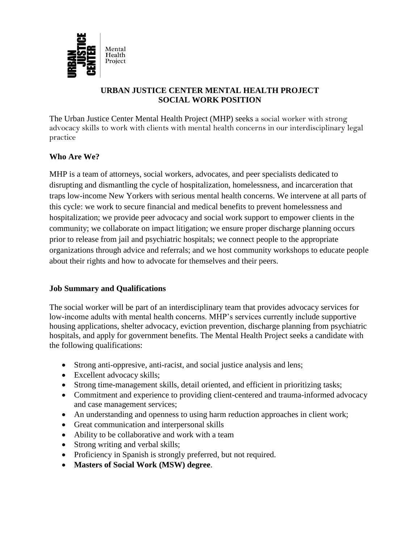

## **URBAN JUSTICE CENTER MENTAL HEALTH PROJECT SOCIAL WORK POSITION**

The Urban Justice Center Mental Health Project (MHP) seeks a social worker with strong advocacy skills to work with clients with mental health concerns in our interdisciplinary legal practice

## **Who Are We?**

MHP is a team of attorneys, social workers, advocates, and peer specialists dedicated to disrupting and dismantling the cycle of hospitalization, homelessness, and incarceration that traps low-income New Yorkers with serious mental health concerns. We intervene at all parts of this cycle: we work to secure financial and medical benefits to prevent homelessness and hospitalization; we provide peer advocacy and social work support to empower clients in the community; we collaborate on impact litigation; we ensure proper discharge planning occurs prior to release from jail and psychiatric hospitals; we connect people to the appropriate organizations through advice and referrals; and we host community workshops to educate people about their rights and how to advocate for themselves and their peers.

## **Job Summary and Qualifications**

The social worker will be part of an interdisciplinary team that provides advocacy services for low-income adults with mental health concerns. MHP's services currently include supportive housing applications, shelter advocacy, eviction prevention, discharge planning from psychiatric hospitals, and apply for government benefits. The Mental Health Project seeks a candidate with the following qualifications:

- Strong anti-oppresive, anti-racist, and social justice analysis and lens;
- Excellent advocacy skills;
- Strong time-management skills, detail oriented, and efficient in prioritizing tasks;
- Commitment and experience to providing client-centered and trauma-informed advocacy and case management services;
- An understanding and openness to using harm reduction approaches in client work;
- Great communication and interpersonal skills
- Ability to be collaborative and work with a team
- Strong writing and verbal skills;
- Proficiency in Spanish is strongly preferred, but not required.
- **Masters of Social Work (MSW) degree**.